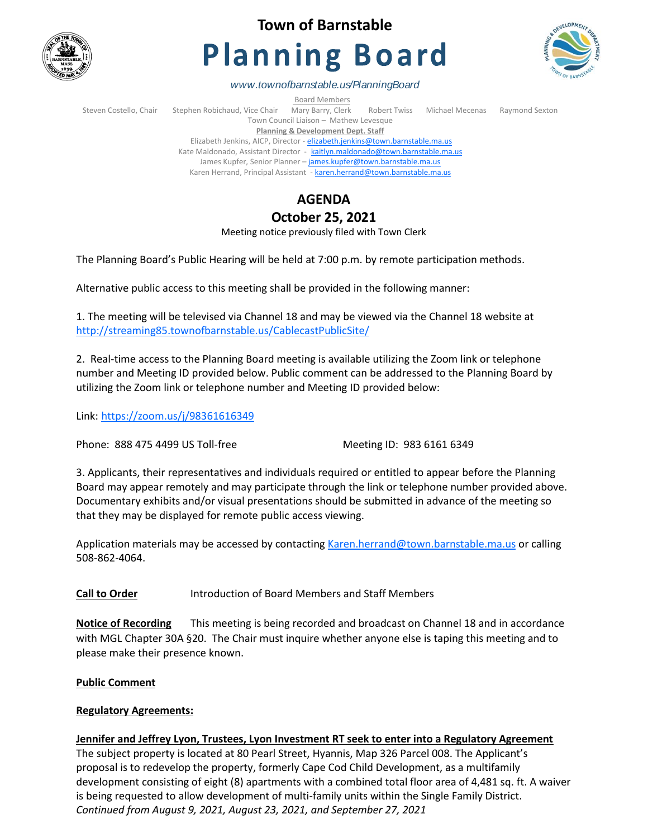

# **Town of Barnstable**

# **Planning Board**



*www.townofbarnstable.us/PlanningBoard*

Board Members

Steven Costello, Chair Stephen Robichaud, Vice Chair Mary Barry, Clerk Robert Twiss Michael Mecenas Raymond Sexton Town Council Liaison – Mathew Levesque **Planning & Development Dept. Staff**  Elizabeth Jenkins, AICP, Director - [elizabeth.jenkins@town.barnstable.ma.us](mailto:elizabeth.jenkins@town.barnstable.ma.us) Kate Maldonado, Assistant Director - [kaitlyn.maldonado@town.barnstable.ma.us](mailto:kaitlyn.maldonado@town.barnstable.ma.us) James Kupfer, Senior Planner - [james.kupfer@town.barnstable.ma.us](mailto:james.kupfer@town.barnstable.ma.us)

Karen Herrand, Principal Assistant - [karen.herrand@town.barnstable.ma.us](mailto:karen.herrand@town.barnstable.ma.us)

## **AGENDA**

### **October 25, 2021**

Meeting notice previously filed with Town Clerk

The Planning Board's Public Hearing will be held at 7:00 p.m. by remote participation methods.

Alternative public access to this meeting shall be provided in the following manner:

1. The meeting will be televised via Channel 18 and may be viewed via the Channel 18 website at <http://streaming85.townofbarnstable.us/CablecastPublicSite/>

2. Real-time access to the Planning Board meeting is available utilizing the Zoom link or telephone number and Meeting ID provided below. Public comment can be addressed to the Planning Board by utilizing the Zoom link or telephone number and Meeting ID provided below:

Link: <https://zoom.us/j/98361616349>

Phone: 888 475 4499 US Toll-free Meeting ID: 983 6161 6349

3. Applicants, their representatives and individuals required or entitled to appear before the Planning Board may appear remotely and may participate through the link or telephone number provided above. Documentary exhibits and/or visual presentations should be submitted in advance of the meeting so that they may be displayed for remote public access viewing.

Application materials may be accessed by contacting [Karen.herrand@town.barnstable.ma.us](mailto:Karen.herrand@town.barnstable.ma.us) or calling 508-862-4064.

**Call to Order** Introduction of Board Members and Staff Members

**Notice of Recording** This meeting is being recorded and broadcast on Channel 18 and in accordance with MGL Chapter 30A §20. The Chair must inquire whether anyone else is taping this meeting and to please make their presence known.

#### **Public Comment**

#### **Regulatory Agreements:**

#### **Jennifer and Jeffrey Lyon, Trustees, Lyon Investment RT seek to enter into a Regulatory Agreement**

The subject property is located at 80 Pearl Street, Hyannis, Map 326 Parcel 008. The Applicant's proposal is to redevelop the property, formerly Cape Cod Child Development, as a multifamily development consisting of eight (8) apartments with a combined total floor area of 4,481 sq. ft. A waiver is being requested to allow development of multi-family units within the Single Family District. *Continued from August 9, 2021, August 23, 2021, and September 27, 2021*